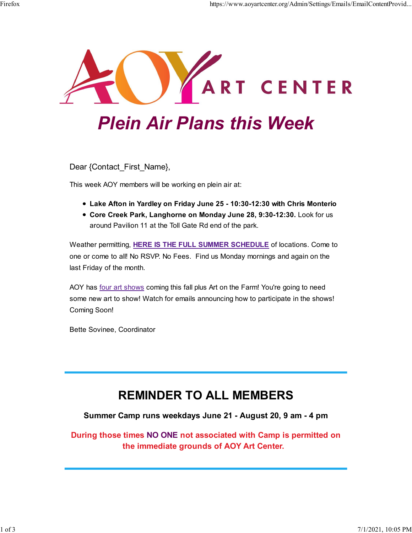

# Plein Air Plans this Week

Dear {Contact\_First\_Name},

This week AOY members will be working en plein air at:

- Lake Afton in Yardley on Friday June 25 10:30-12:30 with Chris Monterio
- Core Creek Park, Langhorne on Monday June 28, 9:30-12:30. Look for us around Pavilion 11 at the Toll Gate Rd end of the park.

Weather permitting, HERE IS THE FULL SUMMER SCHEDULE of locations. Come to one or come to all! No RSVP. No Fees. Find us Monday mornings and again on the last Friday of the month.

AOY has four art shows coming this fall plus Art on the Farm! You're going to need some new art to show! Watch for emails announcing how to participate in the shows! Coming Soon!

Bette Sovinee, Coordinator

### REMINDER TO ALL MEMBERS

#### Summer Camp runs weekdays June 21 - August 20, 9 am - 4 pm

During those times NO ONE not associated with Camp is permitted on the immediate grounds of AOY Art Center.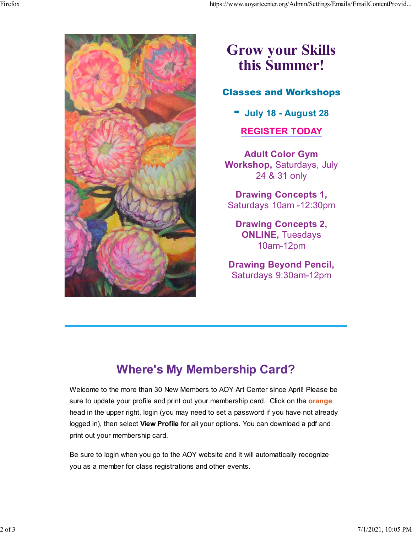

# Grow your Skills this Summer!

### Classes and Workshops

 $\blacksquare$  July 18 - August 28

### REGISTER TODAY

Adult Color Gym Workshop, Saturdays, July 24 & 31 only

Drawing Concepts 1, Saturdays 10am -12:30pm

Drawing Concepts 2, ONLINE, Tuesdays 10am-12pm

Drawing Beyond Pencil, Saturdays 9:30am-12pm

## Where's My Membership Card?

Welcome to the more than 30 New Members to AOY Art Center since April! Please be sure to update your profile and print out your membership card. Click on the **orange** head in the upper right, login (you may need to set a password if you have not already logged in), then select View Profile for all your options. You can download a pdf and print out your membership card.

Be sure to login when you go to the AOY website and it will automatically recognize you as a member for class registrations and other events.